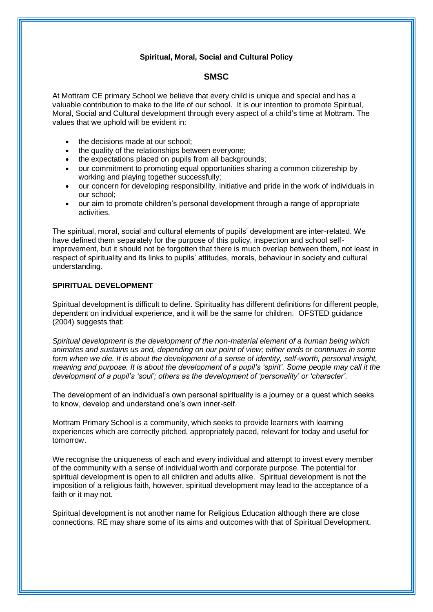# **Spiritual, Moral, Social and Cultural Policy**

# **SMSC**

At Mottram CE primary School we believe that every child is unique and special and has a valuable contribution to make to the life of our school. It is our intention to promote Spiritual, Moral, Social and Cultural development through every aspect of a child's time at Mottram. The values that we uphold will be evident in:

- the decisions made at our school:
- the quality of the relationships between everyone;
- the expectations placed on pupils from all backgrounds;
- our commitment to promoting equal opportunities sharing a common citizenship by working and playing together successfully;
- our concern for developing responsibility, initiative and pride in the work of individuals in our school;
- our aim to promote children's personal development through a range of appropriate activities.

The spiritual, moral, social and cultural elements of pupils' development are inter-related. We have defined them separately for the purpose of this policy, inspection and school selfimprovement, but it should not be forgotten that there is much overlap between them, not least in respect of spirituality and its links to pupils' attitudes, morals, behaviour in society and cultural understanding.

### **SPIRITUAL DEVELOPMENT**

Spiritual development is difficult to define. Spirituality has different definitions for different people, dependent on individual experience, and it will be the same for children. OFSTED guidance (2004) suggests that:

*Spiritual development is the development of the non-material element of a human being which animates and sustains us and, depending on our point of view; either ends or continues in some form when we die. It is about the development of a sense of identity, self-worth, personal insight, meaning and purpose. It is about the development of a pupil's 'spirit'. Some people may call it the development of a pupil's 'soul'; others as the development of 'personality' or 'character'.* 

The development of an individual's own personal spirituality is a journey or a quest which seeks to know, develop and understand one's own inner-self.

Mottram Primary School is a community, which seeks to provide learners with learning experiences which are correctly pitched, appropriately paced, relevant for today and useful for tomorrow.

We recognise the uniqueness of each and every individual and attempt to invest every member of the community with a sense of individual worth and corporate purpose. The potential for spiritual development is open to all children and adults alike. Spiritual development is not the imposition of a religious faith, however, spiritual development may lead to the acceptance of a faith or it may not.

Spiritual development is not another name for Religious Education although there are close connections. RE may share some of its aims and outcomes with that of Spiritual Development.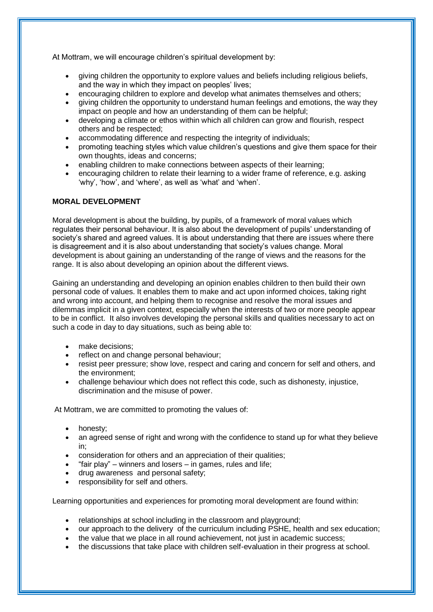At Mottram, we will encourage children's spiritual development by:

- giving children the opportunity to explore values and beliefs including religious beliefs, and the way in which they impact on peoples' lives;
- encouraging children to explore and develop what animates themselves and others;
- giving children the opportunity to understand human feelings and emotions, the way they impact on people and how an understanding of them can be helpful;
- developing a climate or ethos within which all children can grow and flourish, respect others and be respected;
- accommodating difference and respecting the integrity of individuals;
- promoting teaching styles which value children's questions and give them space for their own thoughts, ideas and concerns;
- enabling children to make connections between aspects of their learning;
- encouraging children to relate their learning to a wider frame of reference, e.g. asking 'why', 'how', and 'where', as well as 'what' and 'when'.

### **MORAL DEVELOPMENT**

Moral development is about the building, by pupils, of a framework of moral values which regulates their personal behaviour. It is also about the development of pupils' understanding of society's shared and agreed values. It is about understanding that there are issues where there is disagreement and it is also about understanding that society's values change. Moral development is about gaining an understanding of the range of views and the reasons for the range. It is also about developing an opinion about the different views.

Gaining an understanding and developing an opinion enables children to then build their own personal code of values. It enables them to make and act upon informed choices, taking right and wrong into account, and helping them to recognise and resolve the moral issues and dilemmas implicit in a given context, especially when the interests of two or more people appear to be in conflict. It also involves developing the personal skills and qualities necessary to act on such a code in day to day situations, such as being able to:

- make decisions:
- reflect on and change personal behaviour;
- resist peer pressure; show love, respect and caring and concern for self and others, and the environment;
- challenge behaviour which does not reflect this code, such as dishonesty, injustice, discrimination and the misuse of power.

At Mottram, we are committed to promoting the values of:

- honesty:
- an agreed sense of right and wrong with the confidence to stand up for what they believe in;
- consideration for others and an appreciation of their qualities;
- "fair play" winners and losers in games, rules and life;
- drug awareness and personal safety;
- responsibility for self and others.

Learning opportunities and experiences for promoting moral development are found within:

- relationships at school including in the classroom and playground;
- our approach to the delivery of the curriculum including PSHE, health and sex education;
- the value that we place in all round achievement, not just in academic success;
- the discussions that take place with children self-evaluation in their progress at school.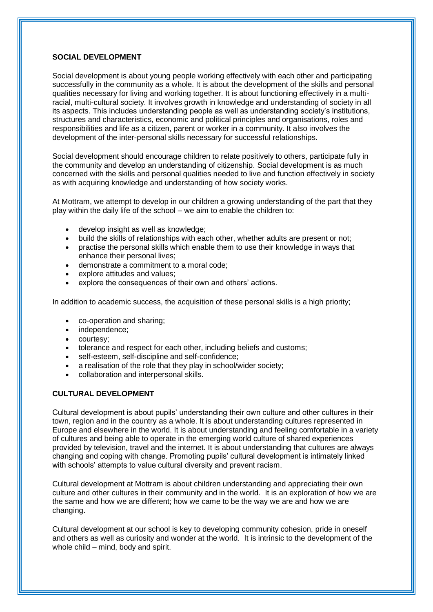#### **SOCIAL DEVELOPMENT**

Social development is about young people working effectively with each other and participating successfully in the community as a whole. It is about the development of the skills and personal qualities necessary for living and working together. It is about functioning effectively in a multiracial, multi-cultural society. It involves growth in knowledge and understanding of society in all its aspects. This includes understanding people as well as understanding society's institutions, structures and characteristics, economic and political principles and organisations, roles and responsibilities and life as a citizen, parent or worker in a community. It also involves the development of the inter-personal skills necessary for successful relationships.

Social development should encourage children to relate positively to others, participate fully in the community and develop an understanding of citizenship. Social development is as much concerned with the skills and personal qualities needed to live and function effectively in society as with acquiring knowledge and understanding of how society works.

At Mottram, we attempt to develop in our children a growing understanding of the part that they play within the daily life of the school – we aim to enable the children to:

- develop insight as well as knowledge;
- build the skills of relationships with each other, whether adults are present or not;
- practise the personal skills which enable them to use their knowledge in ways that enhance their personal lives;
- demonstrate a commitment to a moral code;
- explore attitudes and values;
- explore the consequences of their own and others' actions.

In addition to academic success, the acquisition of these personal skills is a high priority;

- co-operation and sharing;
- independence;
- courtesy;
- tolerance and respect for each other, including beliefs and customs;
- self-esteem, self-discipline and self-confidence;
- a realisation of the role that they play in school/wider society;
- collaboration and interpersonal skills.

### **CULTURAL DEVELOPMENT**

Cultural development is about pupils' understanding their own culture and other cultures in their town, region and in the country as a whole. It is about understanding cultures represented in Europe and elsewhere in the world. It is about understanding and feeling comfortable in a variety of cultures and being able to operate in the emerging world culture of shared experiences provided by television, travel and the internet. It is about understanding that cultures are always changing and coping with change. Promoting pupils' cultural development is intimately linked with schools' attempts to value cultural diversity and prevent racism.

Cultural development at Mottram is about children understanding and appreciating their own culture and other cultures in their community and in the world. It is an exploration of how we are the same and how we are different; how we came to be the way we are and how we are changing.

Cultural development at our school is key to developing community cohesion, pride in oneself and others as well as curiosity and wonder at the world. It is intrinsic to the development of the whole child – mind, body and spirit.